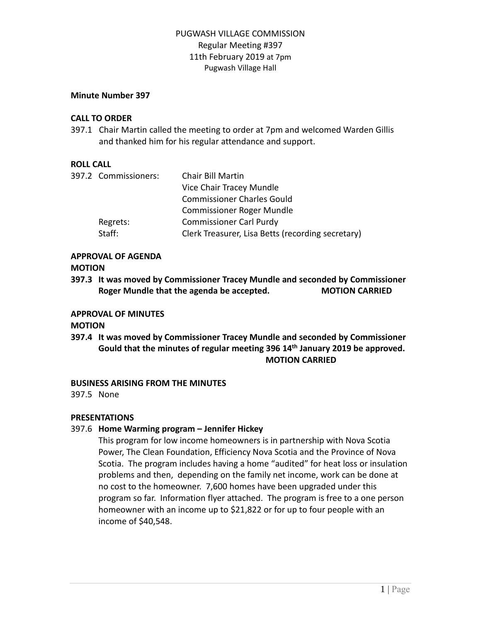#### **Minute Number 397**

## **CALL TO ORDER**

397.1 Chair Martin called the meeting to order at 7pm and welcomed Warden Gillis and thanked him for his regular attendance and support.

## **ROLL CALL**

| 397.2 Commissioners: | Chair Bill Martin                                 |
|----------------------|---------------------------------------------------|
|                      | Vice Chair Tracey Mundle                          |
|                      | <b>Commissioner Charles Gould</b>                 |
|                      | <b>Commissioner Roger Mundle</b>                  |
| Regrets:             | <b>Commissioner Carl Purdy</b>                    |
| Staff:               | Clerk Treasurer, Lisa Betts (recording secretary) |
|                      |                                                   |

# **APPROVAL OF AGENDA**

# **MOTION**

**397.3 It was moved by Commissioner Tracey Mundle and seconded by Commissioner Roger Mundle that the agenda be accepted. MOTION CARRIED**

## **APPROVAL OF MINUTES**

#### **MOTION**

**397.4 It was moved by Commissioner Tracey Mundle and seconded by Commissioner Gould that the minutes of regular meeting 396 14th January 2019 be approved. MOTION CARRIED**

## **BUSINESS ARISING FROM THE MINUTES**

397.5 None

## **PRESENTATIONS**

## 397.6 **Home Warming program – Jennifer Hickey**

This program for low income homeowners is in partnership with Nova Scotia Power, The Clean Foundation, Efficiency Nova Scotia and the Province of Nova Scotia. The program includes having a home "audited" for heat loss or insulation problems and then, depending on the family net income, work can be done at no cost to the homeowner. 7,600 homes have been upgraded under this program so far. Information flyer attached. The program is free to a one person homeowner with an income up to \$21,822 or for up to four people with an income of \$40,548.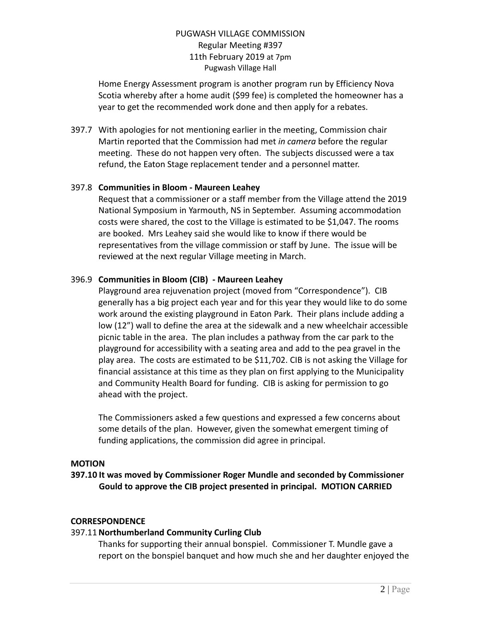Home Energy Assessment program is another program run by Efficiency Nova Scotia whereby after a home audit (\$99 fee) is completed the homeowner has a year to get the recommended work done and then apply for a rebates.

397.7 With apologies for not mentioning earlier in the meeting, Commission chair Martin reported that the Commission had met *in camera* before the regular meeting. These do not happen very often. The subjects discussed were a tax refund, the Eaton Stage replacement tender and a personnel matter.

## 397.8 **Communities in Bloom - Maureen Leahey**

Request that a commissioner or a staff member from the Village attend the 2019 National Symposium in Yarmouth, NS in September. Assuming accommodation costs were shared, the cost to the Village is estimated to be \$1,047. The rooms are booked. Mrs Leahey said she would like to know if there would be representatives from the village commission or staff by June. The issue will be reviewed at the next regular Village meeting in March.

# 396.9 **Communities in Bloom (CIB) - Maureen Leahey**

Playground area rejuvenation project (moved from "Correspondence"). CIB generally has a big project each year and for this year they would like to do some work around the existing playground in Eaton Park. Their plans include adding a low (12") wall to define the area at the sidewalk and a new wheelchair accessible picnic table in the area. The plan includes a pathway from the car park to the playground for accessibility with a seating area and add to the pea gravel in the play area. The costs are estimated to be \$11,702. CIB is not asking the Village for financial assistance at this time as they plan on first applying to the Municipality and Community Health Board for funding. CIB is asking for permission to go ahead with the project.

The Commissioners asked a few questions and expressed a few concerns about some details of the plan. However, given the somewhat emergent timing of funding applications, the commission did agree in principal.

# **MOTION**

# **397.10 It was moved by Commissioner Roger Mundle and seconded by Commissioner Gould to approve the CIB project presented in principal. MOTION CARRIED**

## **CORRESPONDENCE**

# 397.11**Northumberland Community Curling Club**

Thanks for supporting their annual bonspiel. Commissioner T. Mundle gave a report on the bonspiel banquet and how much she and her daughter enjoyed the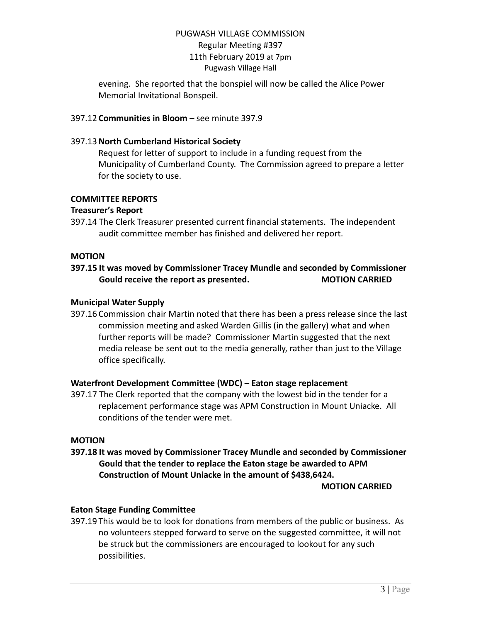evening. She reported that the bonspiel will now be called the Alice Power Memorial Invitational Bonspeil.

## 397.12 **Communities in Bloom** – see minute 397.9

## 397.13**North Cumberland Historical Society**

Request for letter of support to include in a funding request from the Municipality of Cumberland County. The Commission agreed to prepare a letter for the society to use.

## **COMMITTEE REPORTS**

# **Treasurer's Report**

397.14 The Clerk Treasurer presented current financial statements. The independent audit committee member has finished and delivered her report.

## **MOTION**

# **397.15 It was moved by Commissioner Tracey Mundle and seconded by Commissioner Gould receive the report as presented. MOTION CARRIED**

## **Municipal Water Supply**

397.16 Commission chair Martin noted that there has been a press release since the last commission meeting and asked Warden Gillis (in the gallery) what and when further reports will be made? Commissioner Martin suggested that the next media release be sent out to the media generally, rather than just to the Village office specifically.

## **Waterfront Development Committee (WDC) – Eaton stage replacement**

397.17 The Clerk reported that the company with the lowest bid in the tender for a replacement performance stage was APM Construction in Mount Uniacke. All conditions of the tender were met.

## **MOTION**

**397.18 It was moved by Commissioner Tracey Mundle and seconded by Commissioner Gould that the tender to replace the Eaton stage be awarded to APM Construction of Mount Uniacke in the amount of \$438,6424.**

## **MOTION CARRIED**

## **Eaton Stage Funding Committee**

397.19 This would be to look for donations from members of the public or business. As no volunteers stepped forward to serve on the suggested committee, it will not be struck but the commissioners are encouraged to lookout for any such possibilities.